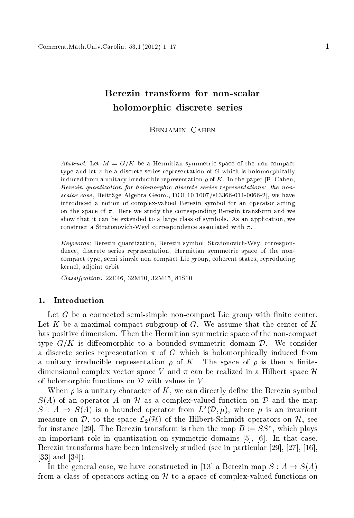# Berezin transform for non-scalar holomorphi dis
rete series

**BENIAMIN CAHEN** 

Abstract. Let  $M = G/K$  be a Hermitian symmetric space of the non-compact type and let  $\pi$  be a discrete series representation of G which is holomorphically induced from a unitary irreducible representation  $\rho$  of K. In the paper [B. Cahen, Berezin quantization for holomorphic discrete series representations: the nonscalar case, Beiträge Algebra Geom., DOI  $10.1007/\text{s}13366-011-0066-2$ , we have introduced a notion of complex-valued Berezin symbol for an operator acting on the space of  $\pi$ . Here we study the corresponding Berezin transform and we show that it can be extended to a large class of symbols. As an application, we construct a Stratonovich-Weyl correspondence associated with  $\pi$ .

Keywords: Berezin quantization, Berezin symbol, Stratonovi
h-Weyl orrespondence, discrete series representation, Hermitian symmetric space of the nonompa
t type, semi-simple nonompa
t Lie group, oherent states, reprodu
ing kernel, adjoint orbit

Classification: 22E46, 32M10, 32M15, 81S10

# 1. Introduction

Let  $G$  be a connected semi-simple non-compact Lie group with finite center. Let  $K$  be a maximal compact subgroup of  $G$ . We assume that the center of  $K$ has positive dimension. Then the Hermitian symmetric space of the non-compact type  $G/K$  is diffeomorphic to a bounded symmetric domain  $\mathcal{D}$ . We consider a discrete series representation  $\pi$  of G which is holomorphically induced from a unitary irreducible representation  $\rho$  of K. The space of  $\rho$  is then a finitedimensional complex vector space V and  $\pi$  can be realized in a Hilbert space H of holomorphic functions on  $\mathcal D$  with values in  $V$ .

When  $\rho$  is a unitary character of K, we can directly define the Berezin symbol  $S(A)$  of an operator A on H as a complex-valued function on D and the map  $S$  :  $A \rightarrow S(A)$  is a bounded operator from  $L^2(D, \mu)$ , where  $\mu$  is an invariant measure on D, to the space  $\mathcal{L}_2(\mathcal{H})$  of the Hilbert-Schmidt operators on H, see for instance  $[29]$ . The Defezin transform is then the map  $D := S S$ , which plays an important role in quantization on symmetric domains  $[5]$ ,  $[6]$ . In that case, Berezin transforms have been intensively studied (see in particular [29],  $[27]$ ,  $[16]$ ,  $[33]$  and  $[34]$ .

In the general case, we have constructed in [13] a Berezin map  $S: A \rightarrow S(A)$ from a class of operators acting on  $H$  to a space of complex-valued functions on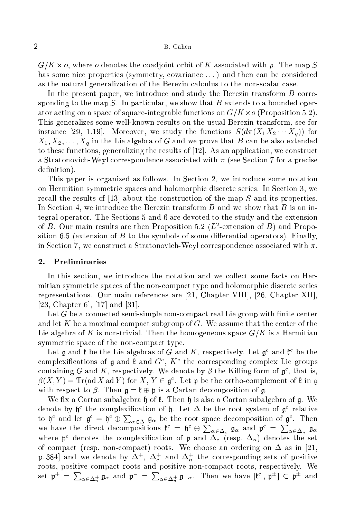, where one of the map state the map stated with the map state or the map  $\mu$  . The map  $\mu$ has some nice properties (symmetry, covariance ...) and then can be considered as the natural generalization of the Berezin calculus to the non-scalar case.

In the present paper, we introduce and study the Berezin transform  $B$  corresponding to the map  $S$ . In particular, we show that  $B$  extends to a bounded operator a
ting on a spa
e of square-integrable fun
tions on G=K-o (Proposition 5.2). This generalizes some well-known results on the usual Berezin transform, see for instance [29, 1.19]. Moreover, we study the functions  $S(d\pi(X_1X_2\cdots X_n))$  for  $X_1, X_2, \ldots, X_q$  in the Lie algebra of G and we prove that B can be also extended to these functions, generalizing the results of  $[12]$ . As an application, we construct a Stratonovich-Weyl correspondence associated with  $\pi$  (see Section 7 for a precise definition).

This paper is organized as follows. In Section 2, we introduce some notation on Hermitian symmetric spaces and holomorphic discrete series. In Section 3, we recall the results of  $[13]$  about the construction of the map S and its properties. In Section 4, we introduce the Berezin transform  $B$  and we show that  $B$  is an integral operator. The Se
tions 5 and 6 are devoted to the study and the extension of  $B$ . Our main results are then Proposition 5.2 ( $L$  -extension of  $D$ ) and Proposition 6.5 (extension of  $B$  to the symbols of some differential operators). Finally, in Section 7, we construct a Stratonovich-Weyl correspondence associated with  $\pi$ .

### 2. Preliminaries

In this section, we introduce the notation and we collect some facts on Hermitian symmetric spaces of the non-compact type and holomorphic discrete series representations. Our main references are  $[21,$  Chapter VIII,  $[26,$  Chapter XII, [23, Chapter 6],  $[17]$  and  $[31]$ .

Let  $G$  be a connected semi-simple non-compact real Lie group with finite center and let K be a maximal compact subgroup of  $G$ . We assume that the center of the Lie algebra of K is non-trivial. Then the homogeneous space  $G/K$  is a Hermitian symmetric space of the non-compact type.

Let  $\mathfrak g$  and  $\mathfrak t$  be the Lie algebras of G and  $K$ , respectively. Let  $\mathfrak g^*$  and  $\mathfrak t^*$  be the complexincations of  $\frak g$  and  $\frak r$  and  $\frak g$  ,  $K^+$  the corresponding complex Lie groups containing G and  $K$ , respectively. We denote by  $\rho$  the Killing form of  $\mathfrak g$  , that is,  $p(\Lambda, Y) = \text{if}(\text{ad }\Lambda \text{ ad }Y)$  for  $\Lambda, Y \in \mathfrak{g}$  . Let p be the ortho-complement of  $\mathfrak{t}$  in  $\mathfrak{g}$ with respect to  $\beta$ . Then  $\mathfrak{g} = \mathfrak{k} \oplus \mathfrak{p}$  is a Cartan decomposition of  $\mathfrak{g}$ .

We fix a Cartan subalgebra  $\mathfrak h$  of  $\mathfrak k$ . Then  $\mathfrak h$  is also a Cartan subalgebra of  $\mathfrak g$ . We denote by  $\frak y$  the complexincation of  $\frak y$ . Let  $\Delta$  be the root system of  $\frak g$  relative to  $\mathfrak{h}^c$  and let  $\mathfrak{g}^c = \mathfrak{h}^c \oplus \sum_{\alpha \in \Delta} \mathfrak{g}_\alpha$  be the root space decomposition of  $\mathfrak{g}^c$ . Then we have the direct decompositions  $\mathfrak{k}^c = \mathfrak{h}^c \oplus \sum_{\alpha \in \Delta_c} \mathfrak{g}_{\alpha}$  and  $\mathfrak{p}^c = \sum_{\alpha \in \Delta_n} \mathfrak{g}_{\alpha}$ where  $p^c$  denotes the complexification of p and  $\Delta_c$  (resp.  $\Delta_n$ ) denotes the set of compact (resp. non-compact) roots. We choose an ordering on  $\Delta$  as in [21, p. 384 and we denote by  $\Delta$ ,  $\Delta_c$  and  $\Delta_n$  the corresponding sets of positive roots, positive compact roots and positive non-compact roots, respectively. We set  $\mathfrak{p}^+ = \sum_{\alpha \in \Delta_+^+} \mathfrak{g}_{\alpha}$  and  $\mathfrak{p}^- = \sum_{\alpha \in \Delta_+^+} \mathfrak{g}_{-\alpha}$ . Then we have  $[\mathfrak{k}^c, \mathfrak{p}^{\pm}] \subset \mathfrak{p}^{\pm}$  and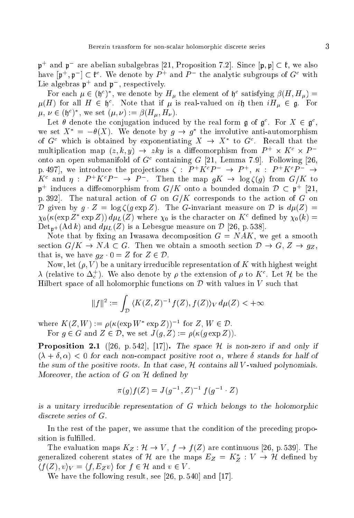$\mathfrak p$  and  $\mathfrak p$  are abelian subalgebras [21, Proposition 7.2]. Since  $[\mathfrak p,\mathfrak p]\subset \mathfrak r$ , we also have p,  $p + \text{ } t^2$ , we denote by P + and P + the analytic subgroups of G + with Lie algebras p and p, respectively.

For each  $\mu \in (\mathfrak{g})$ , we denote by  $\pi_{\mu}$  the element of  $\mathfrak{g}$  satisfying  $\rho(\pi, \pi_{\mu})$  =  $\mu(H)$  for all  $H$   $\in$   $\mathfrak{g}$  . Note that if  $\mu$  is real-valued on  $\imath\mathfrak{g}$  then  $\imath H_{\mu}$   $\in$   $\mathfrak{g}$  . For  $\mu, \nu \in (\mathfrak{g}^*)$ , we set  $(\mu, \nu) := \rho(H_{\mu}, H_{\nu}).$ 

Let  $\sigma$  denote the conjugation induced by the real form  $\mathfrak g$  of  $\mathfrak g^+$ . For  $X \in \mathfrak g^-.$ we set  $\Lambda = -\sigma(\Lambda)$ . We denote by  $g \to g$  the involutive anti-automorphism of G  $_0$  which is obtained by exponentiating  $A \rightarrow A$  to G  $_0$ . Recall that the multiplication map  $(z, \kappa, y) \rightarrow z \kappa y$  is a diffeomorphism from  $P \rightarrow x \; K \rightarrow F$ onto an open submanifold of G containing G  $|21,$  Lemma 7.9 $|$ . Following  $|20,$  $p_1$  4971, we introduce the projections (  $\colon$  P  $\Lambda$  P  $\to$  P  $\to$  F  $\ldots$  R  $\ldots$   $\to$   $\to$  $K^+$  and  $\eta$  :  $P^+ K^+ P^- \to P$  . Then the map  $qK \to \log(q)$  from  $G/K$  to  $\mathfrak p$  -induces a diffeomorphism from G/A onto a bounded domain  $D\subset \mathfrak p$  - [21, p. 392. The natural action of G on  $G/K$  corresponds to the action of G on  $\mathcal{L}$  and a sure on  $\mathcal{L}$  and  $\mathcal{L}$  is defined on D is d(Z)  $\mathcal{L}$  is d(Z)  $\mathcal{L}$  is d(Z)  $\mathcal{L}$  is d(Z)  $\mathcal{L}$  is d(Z)  $\mathcal{L}$  is d(Z)  $\mathcal{L}$  is d(Z)  $\mathcal{L}$  is d(Z)  $\mathcal{L}$  is d(Z)  $\mathcal{L}$  is d(Z)  $\chi_0(\kappa)$  (exp  $\chi_1$ )  $\mu$  $\mu$ <sub>L</sub>( $\chi$ ) where  $\chi_0$  is the character on  $K^-$  defined by  $\chi_0(\kappa)$  =  $Det_{n+}(\text{Ad }k)$  and  $d\mu_L(Z)$  is a Lebesgue measure on  $\mathcal{D}$  [26, p. 538].

Note that by fixing an Iwasawa decomposition  $G = NAK$ , we get a smooth see tion Gallery and Gallery seems the smooth seems and seems the set of  $\mathcal{Y}_1$ that is, we have going to a set  $\Xi$  .

Now, let  $(\rho, V)$  be a unitary irreducible representation of K with highest weight  $\lambda$  (relative to  $\Delta_c$  ). We also denote by  $\rho$  the extension of  $\rho$  to  $K^+$ . Let  $H$  be the Hilbert space of all holomorphic functions on  $\mathcal D$  with values in V such that

$$
||f||^2 := \int_{\mathcal{D}} \langle K(Z, Z)^{-1} f(Z), f(Z) \rangle_V d\mu(Z) < +\infty
$$

where  $K(Z, W) := \rho(K(\exp W - \exp Z))$  for  $Z, W \in \mathcal{D}$ .

For  $g \in G$  and  $Z \in \mathcal{D}$ , we set  $J(g, Z) := \rho(\kappa(g \exp Z)).$ 

**Proposition 2.1** ([26, p. 542], [17]). The space  $\mathcal{H}$  is non-zero if and only if  $(\lambda + \delta, \alpha) < 0$  for each non-compact positive root  $\alpha$ , where  $\delta$  stands for half of the sum of the positive roots. In that ase, <sup>H</sup> ontains all V -valued polynomials. Moreover, the a
tion of G on <sup>H</sup> dened by

$$
\pi(g)f(Z) = J(g^{-1}, Z)^{-1} f(g^{-1} \cdot Z)
$$

is a unitary interventation of G which contains the holomorphic propriety of G which contains the holomorphic p dis
rete series of G.

In the rest of the paper, we assume that the condition of the preceding proposition is fulfilled.

The evaluation maps KZ : <sup>H</sup> ! <sup>V</sup> , <sup>f</sup> ! <sup>f</sup> (Z) are ontinuous [26, p. 539℄. The generalized coherent states of  $\pi$  are the maps  $E_Z = K_Z : V \to \pi$  defined by **Z** has a contract  $\mathcal{L}$  , we have a contract  $\mathcal{L}$  . We are the  $\mathcal{L}$  -regular  $\mathcal{L}$  . We are the  $\mathcal{L}$ 

We have the following result, see  $[26, p. 540]$  and  $[17]$ .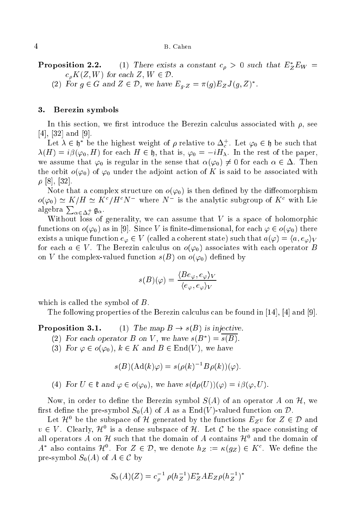**Proposition 2.2.** (1) There exists a constant  $c_{\rho} > 0$  such that  $E_Z E_W =$  $c_{\rho}K(Z,W)$  for each  $Z, W \in \mathcal{D}$ .

(2) For  $g \in G$  and  $Z \in D$ , we have  $E_g$ ,  $Z = \pi(g)E_Z J(g, Z)$ .

### 3. Berezin symbols

In this section, we first introduce the Berezin calculus associated with  $\rho$ , see  $[4]$ ,  $[32]$  and  $[9]$ .

Let  $\lambda \in \mathfrak{h}^+$  be the highest weight of  $\rho$  relative to  $\Delta_c$  . Let  $\varphi_0 \in \mathfrak{h}$  be such that  $\lambda(H) = i\beta(\varphi_0, H)$  for each  $H \in \mathfrak{h}$ , that is,  $\varphi_0 = -iH_\lambda$ . In the rest of the paper, we assume that  $\varphi_0$  is regular in the sense that  $\alpha(\varphi_0) \neq 0$  for each  $\alpha \in \Delta$ . Then the orbit  $o(\varphi_0)$  of  $\varphi_0$  under the adjoint action of K is said to be associated with  $\rho$  [8], [32].

Note that a complex structure on  $o(\varphi_0)$  is then defined by the diffeomorphism  $o(\varphi_0) \simeq K/H \simeq K^{\circ}/H^{\circ}/N$  where N is the analytic subgroup of  $K^{\circ}$  with Lie algebra  $\sum_{\alpha \in \Delta_{\alpha}^+} \mathfrak{g}_{\alpha}$ .

Without loss of generality, we an assume that V is a spa
e of holomorphi functions on  $o(\varphi_0)$  as in [9]. Since V is finite-dimensional, for each  $\varphi \in o(\varphi_0)$  there exists a unique function  $e_{\varphi} \in V$  (called a coherent state) such that  $a(\varphi) = \langle a, e_{\varphi} \rangle_V$ for each  $a \in V$ . The Berezin calculus on  $o(\varphi_0)$  associates with each operator B on V the complex-valued function  $s(B)$  on  $o(\varphi_0)$  defined by

$$
s(B)(\varphi) = \frac{\langle Be_{\varphi}, e_{\varphi} \rangle_V}{\langle e_{\varphi}, e_{\varphi} \rangle_V}
$$

which is called the symbol of  $B$ .

The following properties of the Berezin calculus can be found in [14], [4] and [9].

**Proposition 3.1.** (1) The map  $B \to s(B)$  is injective.

(2) for each operator B on V, we have  $s(B) = s(B)$ .

(3) For  $\varphi \in o(\varphi_0)$ ,  $k \in K$  and  $B \in End(V)$ , we have

$$
s(B)(\mathrm{Ad}(k)\varphi) = s(\rho(k)^{-1}B\rho(k))(\varphi).
$$

(4) For  $U \in \mathfrak{k}$  and  $\varphi \in o(\varphi_0)$ , we have  $s(d\rho(U))(\varphi) = i\beta(\varphi, U)$ .

Now, in order to define the Berezin symbol  $S(A)$  of an operator A on H, we first define the pre-symbol  $S_0(A)$  of A as a End(V)-valued function on D.

Let  $H^-$  be the subspace of  $H$  generated by the functions  $EZv$  for  $Z \in D$  and  $v \in V$ . Clearly,  $\pi$  is a defise subspace of  $\pi$ . Let C be the space consisting of an operators A on  $\pi$  such that the domain of A contains  $\pi^+$  and the domain of A also contains  $H^+$  for  $Z \in \mathcal{D}$ , we denote  $n_Z := \kappa (g_Z) \in K^+$  we define the pre-symbol  $S_0(A)$  of  $A \in \mathcal{C}$  by

$$
S_0(A)(Z) = c_{\rho}^{-1} \rho (h_Z^{-1}) E_Z^* A E_Z \rho (h_Z^{-1})^*
$$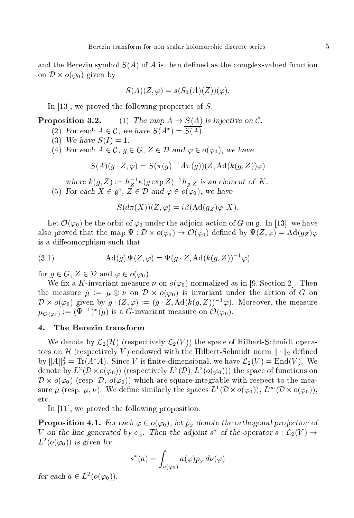and the Berezin symbol  $S(A)$  of A is then defined as the complex-valued function on  $\nu \times o(\varphi_0)$  given by

$$
S(A)(Z, \varphi) = s(S_0(A)(Z))(\varphi).
$$

In [13], we proved the following properties of  $S$ .

Proposition 3.2. (1) The map A ! S(A) is inje
tive on C.

- (2) For each  $A \in C$ , we have  $S(A) = S(A)$ .
- (3) We have  $S(I) = 1$ .
- (4) For each  $A \in \mathcal{C}$ ,  $g \in G$ ,  $Z \in \mathcal{D}$  and  $\varphi \in o(\varphi_0)$ , we have

$$
S(A)(g \cdot Z, \varphi) = S(\pi(g)^{-1} A \pi(g))(Z, \mathrm{Ad}(k(g, Z))\varphi)
$$

where  $\kappa(g, \angle) := n_Z^- \kappa(g \exp \angle) - n_g^- Z$  is an element of  $K$ . (5) For each  $X \in \mathfrak{g}^c$ ,  $\overline{Z} \in \mathcal{D}$  and  $\varphi \in o(\varphi_0)$ , we have

$$
S(d\pi(X))(Z,\varphi) = i\beta(\mathrm{Ad}(g_Z)\varphi,X).
$$

Let  $\mathcal{O}(\varphi_0)$  be the orbit of  $\varphi_0$  under the adjoint action of G on g. In [13], we have also proved that the map  $\Psi: D \times o(\varphi_0) \to O(\varphi_0)$  defined by  $\Psi(Z,\varphi) = \mathrm{Ad}(g_Z) \varphi$ is a diffeomorphism such that

(3.1) 
$$
\text{Ad}(g) \Psi(Z, \varphi) = \Psi(g \cdot Z, \text{Ad}(k(g, Z)))^{-1} \varphi)
$$

for  $g \in G$ ,  $Z \in \mathcal{D}$  and  $\varphi \in o(\varphi_0)$ .

We fix a K-invariant measure  $\nu$  on  $o(\varphi_0)$  normalized as in [9, Section 2]. Then the measure  $\mu := \mu \otimes \nu$  on  $\nu \times o(\varphi_0)$  is invariant under the action of G on  $D \times o(\varphi_0)$  given by  $g \cdot (Z, \varphi) := (g \cdot Z, \mathrm{Ad}(\kappa(g, Z)))^{-1} \varphi$ ). Moreover, the measure  $\mu_{\mathcal{O}(\varphi_0)} := (\Psi^{-1})^-(\mu)$  is a G-invariant measure on  $\mathcal{O}(\varphi_0)$ .

# 4. The Berezin transform

We denote by  $\mathcal{L}_2(\mathcal{H})$  (respectively  $\mathcal{L}_2(V)$ ) the space of Hilbert-Schmidt operators on  $\mathcal H$  (respectively V) endowed with the Hilbert-Schmidt norm  $\|\cdot\|_2$  defined by  $||A||_2 = \text{Tr}(A\ A)$ . Since *V* is influe-dimensional, we have  $\mathcal{L}_2(V) = \text{End}(V)$ . We denote by  $L^2(D \times o(\varphi_0))$  (respectively  $L^2(D), L^2(o(\varphi_0)))$  the space of functions on  $D \times o(\varphi_0)$  (resp.  $D, o(\varphi_0)$ ) which are square-integrable with respect to the measure  $\mu$  (resp.  $\mu, \nu$ ). We define similarly the spaces  $L^1(D\times o(\varphi_0)),$   $L^\infty(D\times o(\varphi_0)),$ et
.

In  $[11]$ , we proved the following proposition.

**Proposition 4.1.** For each  $\varphi \in o(\varphi_0)$ , let  $p_{\varphi}$  denote the orthogonal projection of v on the line generated by  $e_{\varphi}$ . Then the adjoint s of the operator s:  $\mathcal{L}_2(V) \rightarrow$  $L^-(o(\varphi_0))$  is given by

$$
s^*(a) = \int_{o(\varphi_0)} a(\varphi) p_{\varphi} d\nu(\varphi)
$$

for each  $a \in L^2(\mathcal{O}(\varphi_0))$ .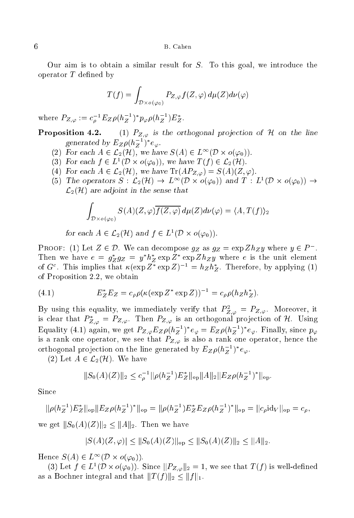Our aim is to obtain a similar result for  $S$ . To this goal, we introduce the operator  $T$  defined by

$$
T(f) = \int_{\mathcal{D} \times o(\varphi_0)} P_{Z,\varphi} f(Z,\varphi) d\mu(Z) d\nu(\varphi)
$$

where  $P_{Z,\varphi} := c_o \cdot E_Z \rho(n_Z \cdot P_{\varphi} \rho(n_Z \cdot) E_Z$ . ..

**Proposition 4.2.** (1)  $P_{Z,\varphi}$  is the orthogonal projection of H on the line generated by  $E_Z \rho(n_Z^-)$  e<sub> $\varphi$ </sub>.

- (2) For each  $A \in \mathcal{L}_2(\mathcal{H})$ , we have  $S(A) \in L^{\infty}(\mathcal{D} \times o(\varphi_0)).$
- (3) For each  $f \in L^1(\mathcal{D} \times o(\varphi_0))$ , we have  $I(f) \in L_2(\mathcal{H})$ .
- (4) For each  $A \in \mathcal{L}_2(\mathcal{H})$ , we have  $\text{Tr}(AP_{Z,\varphi}) = S(A)(Z,\varphi)$ .
- (5) Ine operators  $S : L_2(H) \to L^{\infty}(D \times o(\varphi_0))$  and  $I : L^1(D \times o(\varphi_0)) \to$  $\mathcal{L}_2(\mathcal{H})$  are adjoint in the sense that

$$
\int_{\mathcal{D}\times o(\varphi_0)} S(A)(Z,\varphi)\overline{f(Z,\varphi)}\,d\mu(Z)d\nu(\varphi) = \langle A,T(f)\rangle_2
$$

for each  $A \in L_2(H)$  and  $f \in L^1(\mathcal{D} \times o(\varphi_0))$ .

PROOF: (1) Let  $Z \in \mathcal{D}$ . We can decompose  $yz$  as  $yz = \exp Znzy$  where  $y \in P$ . Then we have  $e = g_Z g_Z = y n_Z \exp z \exp z n_Z y$  where e is the unit element of  $G^c$ . This implies that  $\kappa(\exp Z^* \exp Z)^{-1} = h_Z h_Z^*$ . Therefore, by applying (1) of Proposition 2.2, we obtain

(4.1) 
$$
E_Z^* E_Z = c_\rho \rho (\kappa (\exp Z^* \exp Z))^{-1} = c_\rho \rho (h_Z h_Z^*).
$$

By using this equality, we immediately verify that  $P_{Z,\varphi}^{\perp} = P_{Z,\varphi}$ . Moreover, it is clear that  $P_{Z,\varphi} = P_{Z,\varphi}$ . Then  $P_{Z,\varphi}$  is an orthogonal projection of  $\mathcal{H}$ . Using Equality (4.1) again, we get  $P_{Z,\varphi}E_Z \rho(n_Z^-)^*e_{\varphi} = E_Z \rho(n_Z^-)^*e_{\varphi}$ . Finally, since  $p_{\varphi}$ is a rank one operator, we see that  $P_{Z,\varphi}$  is also a rank one operator, hence the orthogonal projection on the line generated by  $E_Z \rho (n_Z^-)^\top e_\varphi$  .

(2) Let  $A \in \mathcal{L}_2(\mathcal{H})$ . We have

$$
||S_0(A)(Z)||_2 \leq c_{\rho}^{-1} ||\rho(h_Z^{-1}) E_Z^*||_{op} ||A||_2 ||E_Z \rho(h_Z^{-1})^*||_{op}.
$$

Sin
e

$$
\|\rho(h_Z^{-1})E_Z^*\|_{\text{op}}\|E_Z\rho(h_Z^{-1})^*\|_{\text{op}} = \|\rho(h_Z^{-1})E_Z^*E_Z\rho(h_Z^{-1})^*\|_{\text{op}} = \|c_\rho\mathrm{id}_V\|_{\text{op}} = c_\rho,
$$

we get  $||S_0(A)(Z)||_2 \leq ||A||_2$ . Then we have

$$
|S(A)(Z,\varphi)| \leq ||S_0(A)(Z)||_{op} \leq ||S_0(A)(Z)||_2 \leq ||A||_2.
$$

Hence  $S(A) \in L^{\infty}(D \times o(\varphi_0)).$ 

(3) Let  $f \in L^1(\mathcal{D} \times o(\varphi_0))$ . Since  $||P_{Z,\varphi}||_2 = 1$ , we see that  $I(f)$  is well-defined as a Bochner integral and that  $||T(f)||_2 \leq ||f||_1$ .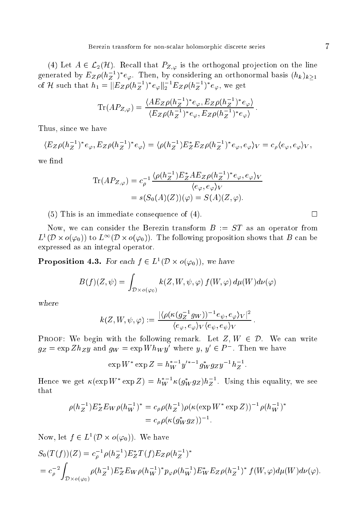(4) Let  $A \in \mathcal{L}_2(\mathcal{H})$ . Recall that  $P_{Z,\varphi}$  is the orthogonal projection on the line generated by  $E_Z \rho(n_Z^-)$  (  $e_{\varphi}$  ). Then, by considering an orthonormal basis  $(h_k)_{k\geq 1}$ of H such that  $h_1 = ||E_Z \rho (h_Z^{-1})^* e_{\varphi}||_2^{-1} E_Z \rho (h_Z^{-1})^* e_{\varphi}$ , we get

$$
\operatorname{Tr}(AP_{Z,\varphi}) = \frac{\langle AE_Z \rho(h_Z^{-1})^* e_{\varphi}, E_Z \rho(h_Z^{-1})^* e_{\varphi} \rangle}{\langle E_Z \rho(h_Z^{-1})^* e_{\varphi}, E_Z \rho(h_Z^{-1})^* e_{\varphi} \rangle}.
$$

Thus, sin
e we have

 $\langle E_Z \rho(n_Z^-)^\top e_\varphi, E_Z \rho(n_Z^-)^\top e_\varphi \rangle = \langle \rho(n_Z^-) E_Z E_Z \rho(n_Z^-)^\top e_\varphi, e_\varphi \rangle_V = c_\rho \langle e_\varphi, e_\varphi \rangle_V,$ 

we find

$$
\operatorname{Tr}(AP_{Z,\varphi}) = c_{\rho}^{-1} \frac{\langle \rho(h_Z^{-1}) E_Z^* A E_Z \rho(h_Z^{-1})^* e_{\varphi}, e_{\varphi} \rangle_V}{\langle e_{\varphi}, e_{\varphi} \rangle_V}
$$
  
=  $s(S_0(A)(Z))(\varphi) = S(A)(Z, \varphi).$ 

(5) This is an immediate onsequen
e of (4).

Now, we can consider the Berezin transform  $B := ST$  as an operator from  $L^{1}(D\times o(\varphi_{0}))$  to  $L^{\infty}(D\times o(\varphi_{0})).$  The following proposition shows that  $B$  can be expressed as an integral operator.

**Proposition 4.3.** For each  $f \in L^1(D \times o(\varphi_0))$ , we have

$$
B(f)(Z,\psi) = \int_{\mathcal{D}\times o(\varphi_0)} k(Z,W,\psi,\varphi) f(W,\varphi) d\mu(W) d\nu(\varphi)
$$

$$
k(Z, W, \psi, \varphi) := \frac{|\langle \rho(\kappa(g_Z^{-1}g_W))^{-1} e_{\psi}, e_{\varphi} \rangle_V|^2}{\langle e_{\varphi}, e_{\varphi} \rangle_V \langle e_{\psi}, e_{\psi} \rangle_V}
$$

**PROOF:** We begin with the following remark. Let  $Z, W \in \mathcal{D}$ . We can write  $g_Z = \exp Z n_Z y$  and  $g_W = \exp W n_W y$  where  $y, y \in P$ . Then we have

$$
\exp W^* \exp Z = h_W^{*-1} y'^{*-1} g_W^* g_Z y^{-1} h_Z^{-1}
$$

Hence we get  $\kappa(\exp W \cdot \exp Z) = h_W \cdot \kappa(g_W^T g_Z) h_Z^T$ . Using this equality, we see that

$$
\rho(h_Z^{-1})E_Z^* E_W \rho(h_W^{-1})^* = c_\rho \rho(h_Z^{-1}) \rho(\kappa(\exp W^* \exp Z))^{-1} \rho(h_W^{-1})^*
$$
  
=  $c_\rho \rho(\kappa(g_W^* g_Z))^{-1}$ .

Now, let  $J \in L^1(D \times o(\varphi_0))$ . We have

$$
S_0(T(f))(Z) = c_\rho^{-1} \rho(h_Z^{-1}) E_Z^* T(f) E_Z \rho(h_Z^{-1})^*
$$
  
=  $c_\rho^{-2} \int_{\mathcal{D} \times o(\varphi_0)} \rho(h_Z^{-1}) E_Z^* E_W \rho(h_W^{-1})^* p_\varphi \rho(h_W^{-1}) E_W^* E_Z \rho(h_Z^{-1})^* f(W, \varphi) d\mu(W) d\nu(\varphi).$ 

П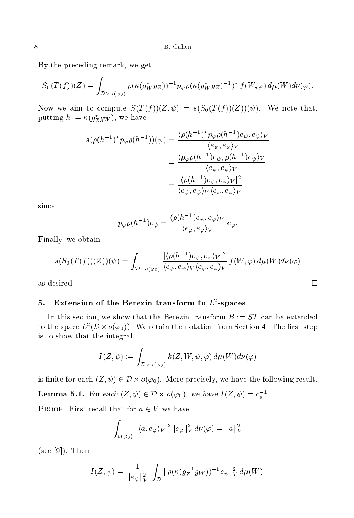By the pre
eding remark, we get

$$
S_0(T(f))(Z) = \int_{\mathcal{D}\times o(\varphi_0)} \rho(\kappa(g_W^*g_Z))^{-1} p_\varphi \rho(\kappa(g_W^*g_Z)^{-1})^* f(W, \varphi) d\mu(W) d\nu(\varphi).
$$

Now we aim to compute  $S(T(f))(Z,\psi) = s(S_0(T(f))(Z))(\psi)$ . We note that, putting  $\mu := \kappa(g_Z g_W)$ , we have

$$
s(\rho(h^{-1})^* p_\varphi \rho(h^{-1}))(\psi) = \frac{\langle \rho(h^{-1})^* p_\varphi \rho(h^{-1}) e_\psi, e_\psi \rangle_V}{\langle e_\psi, e_\psi \rangle_V}
$$
  

$$
= \frac{\langle p_\varphi \rho(h^{-1}) e_\psi, \rho(h^{-1}) e_\psi \rangle_V}{\langle e_\psi, e_\psi \rangle_V}
$$
  

$$
= \frac{|\langle \rho(h^{-1}) e_\psi, e_\varphi \rangle_V|^2}{\langle e_\psi, e_\psi \rangle_V \langle e_\varphi, e_\varphi \rangle_V}
$$

since

$$
p_{\varphi}\rho(h^{-1})e_{\psi} = \frac{\langle \rho(h^{-1})e_{\psi}, e_{\varphi} \rangle_{V}}{\langle e_{\varphi}, e_{\varphi} \rangle_{V}}e_{\varphi}.
$$

Finally, we obtain

$$
s(S_0(T(f))(Z))(\psi) = \int_{\mathcal{D}\times o(\varphi_0)} \frac{|\langle \rho(h^{-1})e_{\psi}, e_{\varphi} \rangle_V|^2}{\langle e_{\psi}, e_{\psi} \rangle_V \langle e_{\varphi}, e_{\varphi} \rangle_V} f(W, \varphi) d\mu(W) d\nu(\varphi)
$$

#### $\ddot{\bm{\theta}}$ . Extension of the Berezin transform to  $L$ -spaces

In this section, we show that the Berezin transform  $B := ST$  can be extended to the space  $L^2(D \times o(\varphi_0))$ . We retain the notation from Section 4. The first step is to show that the integral

$$
I(Z,\psi) := \int_{\mathcal{D}\times o(\varphi_0)} k(Z,W,\psi,\varphi) d\mu(W) d\nu(\varphi)
$$

is finite for each  $(Z, \psi) \in D \times o(\varphi_0)$ . More precisely, we have the following result.

**Lemma 5.1.** For each  $(Z, \psi) \in D \times o(\varphi_0)$ , we have  $I(Z, \psi) = c_{\rho}$ .

PROOF: First recall that for  $a \in V$  we have

$$
\int_{o(\varphi_0)} |\langle a, e_{\varphi} \rangle_V|^2 ||e_{\varphi}||_V^2 d\nu(\varphi) = ||a||_V^2
$$

(see [9]). Then

$$
I(Z, \psi) = \frac{1}{\|e_{\psi}\|_{V}^{2}} \int_{\mathcal{D}} \|\rho(\kappa(g_{Z}^{-1}g_{W}))^{-1} e_{\psi}\|_{V}^{2} d\mu(W).
$$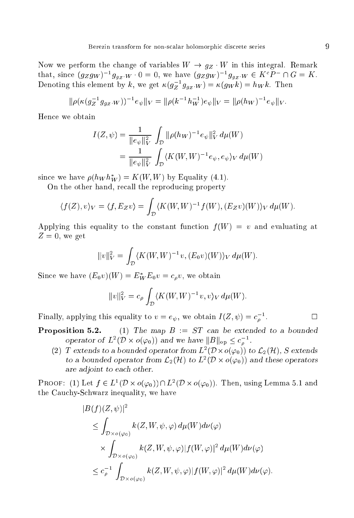Now we perform the hange of variables W ! gZ <sup>W</sup> in this integral. Remark that, since  $(g_Z g_W)$   $g_{g_Z W}$   $\upsilon = \upsilon$ , we have  $(g_Z g_W)$   $g_{g_Z W} \in K^{\perp}$   $\upsilon$  if  $\upsilon = K$ . Denoting this element by k, we get  $\kappa(g_Z/g_{g_Z \cdot W}) = \kappa(g_W \kappa) = n_W \kappa$ . Then

$$
\|\rho(\kappa(g_Z^{-1}g_{gz} \cdot w))^{-1}e_{\psi}\|_V = \|\rho(k^{-1}h_W^{-1})e_{\psi}\|_V = \|\rho(h_W)^{-1}e_{\psi}\|_V.
$$

Hen
e we obtain

$$
I(Z, \psi) = \frac{1}{\|e_{\psi}\|_{V}^{2}} \int_{\mathcal{D}} \|\rho(h_{W})^{-1} e_{\psi}\|_{V}^{2} d\mu(W)
$$
  
= 
$$
\frac{1}{\|e_{\psi}\|_{V}^{2}} \int_{\mathcal{D}} \langle K(W, W)^{-1} e_{\psi}, e_{\psi} \rangle_{V} d\mu(W)
$$

since we have  $\rho(n_W n_W) = K(w, w)$  by Equality (4.1).

On the other hand, recall the reproducing property

$$
\langle f(Z), v \rangle_V = \langle f, E_Z v \rangle = \int_{\mathcal{D}} \langle K(W, W)^{-1} f(W), (E_Z v)(W) \rangle_V d\mu(W).
$$

Applying this equality to the constant function  $f(W) = v$  and evaluating at  $Z=0$ , we get

$$
||v||_V^2 = \int_{\mathcal{D}} \langle K(W, W)^{-1} v, (E_0 v)(W) \rangle_V d\mu(W).
$$

Since we have  $(E_0v)(W) = E_W E_0v = c_{\rho}v$ , we obtain

$$
||v||_V^2 = c_\rho \int_{\mathcal{D}} \langle K(W, W)^{-1}v, v \rangle_V d\mu(W).
$$

Finally, applying this equality to  $v = e_{\psi}$ , we obtain  $I(Z, \psi) = c_{\rho}$ .

**Proposition 5.2.** (1) The map  $B := ST$  can be extended to a bounded operator of  $L^2(\nu \times o(\varphi_0))$  and we have  $||B||_{op} \leq C_{\rho}$ .

(2) T extends to a bounded operator from  $L^2(D \times o(\varphi_0))$  to  $\mathcal{L}_2(\mathcal{H})$ , S extends to a bounded operator from  $\mathcal{L}_2(H)$  to  $L^2(D\times o(\varphi_0))$  and these operators are a not each communication to each communication

PROOF: (1) Let  $f \in L^1(D \times o(\varphi_0)) \cap L^2(D \times o(\varphi_0))$ . Then, using Lemma 5.1 and the Cau
hy-S
hwarz inequality, we have

$$
|B(f)(Z, \psi)|^2
$$
  
\n
$$
\leq \int_{\mathcal{D}\times o(\varphi_0)} k(Z, W, \psi, \varphi) d\mu(W) d\nu(\varphi)
$$
  
\n
$$
\times \int_{\mathcal{D}\times o(\varphi_0)} k(Z, W, \psi, \varphi) |f(W, \varphi)|^2 d\mu(W) d\nu(\varphi)
$$
  
\n
$$
\leq c_{\rho}^{-1} \int_{\mathcal{D}\times o(\varphi_0)} k(Z, W, \psi, \varphi) |f(W, \varphi)|^2 d\mu(W) d\nu(\varphi).
$$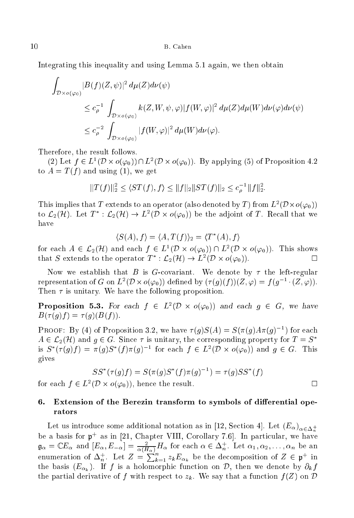Integrating this inequality and using Lemma 5.1 again, we then obtain

$$
\int_{\mathcal{D}\times o(\varphi_0)} |B(f)(Z,\psi)|^2 d\mu(Z) d\nu(\psi)
$$
\n
$$
\leq c_{\rho}^{-1} \int_{\mathcal{D}\times o(\varphi_0)} k(Z,W,\psi,\varphi) |f(W,\varphi)|^2 d\mu(Z) d\mu(W) d\nu(\varphi) d\nu(\psi)
$$
\n
$$
\leq c_{\rho}^{-2} \int_{\mathcal{D}\times o(\varphi_0)} |f(W,\varphi)|^2 d\mu(W) d\nu(\varphi).
$$

Therefore, the result follows.

(2) Let  $f \in L^1(\mathcal{D} \times o(\varphi_0)) \cap L^2(\mathcal{D} \times o(\varphi_0))$ . By applying (5) of Proposition 4.2 to  $A = T(f)$  and using (1), we get

$$
||T(f)||_2^2 \le \langle ST(f), f \rangle \le ||f||_2 ||ST(f)||_2 \le c_\rho^{-1} ||f||_2^2.
$$

I his implies that T extends to an operator (also denoted by T) from  $L^2(D \times o(\varphi_0))$ to  ${\cal L}_2({\cal H})$  . Let  $I^-: {\cal L}_2({\cal H})\to L^2({\cal U}\times o(\varphi_0))$  be the adjoint of  $I$  . Recall that we have

$$
\langle S(A), f \rangle = \langle A, T(f) \rangle_2 = \langle T^*(A), f \rangle
$$

for each  $A \in L_2(H)$  and each  $f \in L^1(D \times o(\varphi_0))$  if  $L^2(D \times o(\varphi_0))$ . This shows that S extends to the operator  $T : L_2(H) \to L^2(D \times o(\varphi_0))$ .

Now we establish that  $B$  is  $G$ -covariant. We denote by  $\tau$  the left-regular representation of G on  $L^2(\nu \times o(\varphi_0))$  defined by  $(\tau(g)(f))(\varphi,\varphi) = f(g^{-1} \cdot (\varphi,\varphi)).$ Then  $\tau$  is unitary. We have the following proposition.

**Proposition 5.3.** For each  $f \in L^2(D \times o(\varphi_0))$  and each  $g \in G$ , we have  $B(\tau(g)f) = \tau(g)(B(f)).$ 

PROOF: By (4) of Proposition 3.2, we have  $\tau(g)S(A) = S(\pi(g)A\pi(g)^{-1})$  for each  $A \in \mathcal{L}_2(\mathcal{H})$  and  $g \in G$ . Since  $\tau$  is unitary, the corresponding property for  $T = S^*$ is  $S^{\pi}(\tau(g) f) = \pi(g) S^{\pi}(f) \pi(g)$  for each  $f \in L^2(D \times o(\varphi_0))$  and  $g \in G$ . This gives

$$
SS^*(\tau(g)f) = S(\pi(g)S^*(f)\pi(g)^{-1}) = \tau(g)SS^*(f)
$$

for each  $f \in L^2(D \times o(\varphi_0)),$  hence the result.

# 6. Extension of the Berezin transform to symbols of differential operators

e some additional notation as in the source of the source  $\Gamma$  ,  $\Gamma$  ,  $\Gamma$  ,  $\Gamma$  ,  $\Gamma$  ,  $\Gamma$  ,  $\Gamma$  ,  $\Gamma$  ,  $\Gamma$  ,  $\Gamma$  ,  $\Gamma$  ,  $\Gamma$  ,  $\Gamma$  ,  $\Gamma$  ,  $\Gamma$  ,  $\Gamma$  ,  $\Gamma$  ,  $\Gamma$  ,  $\Gamma$  ,  $\Gamma$  ,  $\Gamma$  ,  $\Gamma$  ,  $\Gamma$  ,  $\$ be a basis for  $p^+$  as in [21, Chapter VIII, Corollary 7.6.]. In particular, we have  $\mathfrak{g}_{\alpha} = \mathfrak{C}E_{\alpha}$  and  $[E_{\alpha}, E_{-\alpha}] = \frac{1}{\alpha(H_{\alpha})} H_{\alpha}$  for each  $\alpha \in \Delta_n^{\perp}$ . Let  $\alpha_1, \alpha_2, \ldots, \alpha_n$  be an enumeration of  $\Delta_n^+$ . Let  $Z = \sum_{k=1}^n z_k E_{\alpha_k}$  be the decomposition of  $Z \in \mathfrak{p}^+$  in the basis  $(E_{\alpha_k})$ . If f is a holomorphic function on D, then we denote by  $\partial_k f$ the partial derivative of f with respect to  $z_k$ . We say that a function  $f(Z)$  on  $D$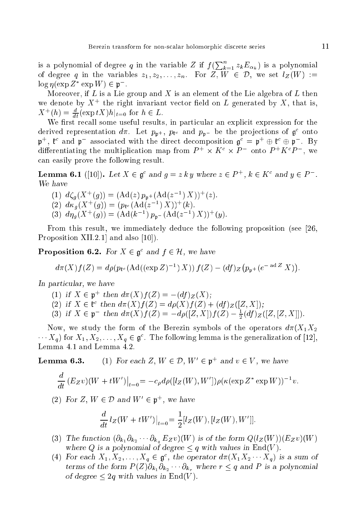is a polynomial of degree q in the variable Z if  $f(\sum_{k=1}^n z_k E_{\alpha_k})$  is a polynomial of degree q in the variables  $z_1, z_2, \ldots, z_n$ . For  $Z, W \in \mathcal{D}$ , we set  $l_Z(W) :=$  $\log \eta$  (exp  $\omega$  exp  $w$  )  $\in \mathfrak{p}$ .

Moreover, if  $L$  is a Lie group and  $X$  is an element of the Lie algebra of  $L$  then we denote by  $\Lambda^+$  the right invariant vector neld on  $L$  generated by  $\Lambda$ , that is,  $\Lambda^+(h) = \frac{1}{dt} (\exp t \Lambda) h|_{t=0}$  for  $h \in L$ .

We rst re
all some useful results, in parti
ular an expli
it expression for the derived representation  $a\pi$ . Let  $p_{\mathfrak{b}^+}$ ,  $p_{\mathfrak{k}^c}$  and  $p_{\mathfrak{b}^-}$  be the projections of  $\mathfrak{g}^-$  onto  $\mathfrak p$  ,  $\mathfrak t$  and  $\mathfrak p$  associated with the direct decomposition  $\mathfrak g^* = \mathfrak p^* \oplus \mathfrak t^* \oplus \mathfrak p$  . By differentiating the multiplication map from  $P^+ \times K^- \times P^-$  onto  $P^+ K^+ P^-$ , we an easily prove the following result.

**Lemma 6.1** ([10]). Let  $A \in \mathfrak{g}^*$  and  $g = z \kappa y$  where  $z \in P^*$ ,  $\kappa \in \mathbb{A}^*$  and  $y \in P^-$ .

(1)  $a\zeta_q(\Lambda_-(y)) \equiv (A\mathbf{q}(z))p_{\mathbf{p}+}(\Lambda\mathbf{q}(z)^{-1}\Lambda_+)(z).$  $(Z)$   $d\mathcal{K}_q(\Lambda^+(q)) = (p_{\mathfrak{k}^c}(\text{A}u(z^{-}))\Lambda^+(k)).$ (3)  $a\eta_a(\Lambda \mid (g)) = (A\mathbf{u}(k))\mathbf{p}_b - (A\mathbf{u}(z))\Lambda$  (y).

From this result, we immediately dedu
e the following proposition (see [26, Proposition XII.2.1 and also  $[10]$ .

**Proposition 6.2.** For  $A \in \mathfrak{g}^*$  and  $f \in \mathcal{H}$ , we have

$$
d\pi(X)f(Z) = d\rho(p_{\mathfrak{k}^c}(\operatorname{Ad}((\exp Z)^{-1})X)) f(Z) - (df)_Z (p_{\mathfrak{p}^+}(e^{-\operatorname{ad} Z} X))
$$

ular, we have the contract of the contract of the contract of the contract of the contract of the contract of

- (1) if  $\Lambda \in \mathfrak{p}$  then  $a\pi(\Lambda)f(Z) = -(af)Z(\Lambda);$
- $\alpha(z)$  if  $\Lambda \in \mathfrak{t}$  then  $a\pi(\Lambda)$   $f(\Sigma) = ap(\Lambda)$   $f(\Sigma) + (af)g(\Sigma, \Lambda)$ ;

(3) If  $\Lambda \in \mathfrak{p}$  then  $a\pi(\Lambda) f(Z) = -a\rho(|Z, \Lambda|) f(Z) - \frac{1}{2} (q f) Z(|Z, |Z, \Lambda|)$ .

Now, we study the form of the Berezin symbols of the operators  $d\pi(X_1X_2)$  $\{X_a\}$  for  $X_1, X_2, \ldots, X_a \in \mathfrak{g}^+$  . The following lemma is the generalization of [12], Lemma 4.1 and Lemma 4.2.

**Lemma 6.3.** (1) For each  $\mathbb{Z}$ ,  $W \in \mathcal{D}$ ,  $W \in \mathfrak{p}$  and  $v \in V$ , we have

$$
\frac{d}{dt} (E_Z v)(W + tW')\big|_{t=0} = -c_\rho d\rho([l_Z(W), W'])\rho(\kappa(\exp Z^* \exp W))^{-1}v.
$$

(2) For  $\Delta$ ,  $W \in D$  and  $W \in \mathfrak{p}$ , we have

$$
\frac{d}{dt}l_Z(W + tW')\big|_{t=0} = \frac{1}{2}[l_Z(W), [l_Z(W), W']].
$$

- (3) The function  $(\partial_{k_1}\partial_{k_2}\cdots\partial_{k_n}E_Z v)(W)$  is of the form  $Q(l_Z(W))(E_Z v)(W)$ where  $\alpha$  is a polynomial of degree  $\alpha$  with values in  $\alpha$  and  $\alpha$
- (4) For each  $\Lambda_1, \Lambda_2, \ldots, \Lambda_q \in \mathfrak{g}$ , the operator  $a\pi(\Lambda_1\Lambda_2 \cdots \Lambda_q)$  is a sum of terms of the form <sup>P</sup> (Z)k1 k2 kr where <sup>r</sup> <sup>q</sup> and <sup>P</sup> is <sup>a</sup> polynomial of degree 2q with values in End(V ).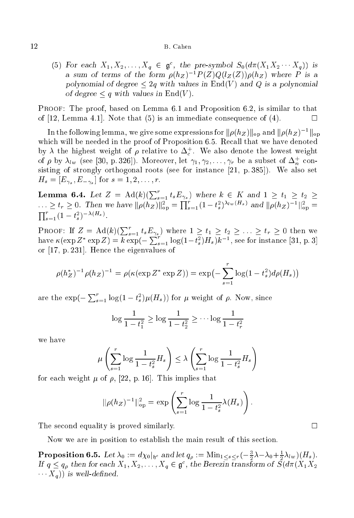(5) For each  $A_1, A_2, \ldots, A_q \in \mathfrak{g}^*$ , the pre-symbol  $\mathfrak{O}_0(u\pi(A_1A_2 \cdots A_q))$  is a sum of terms of the form  $p(n_Z) - P(Z) \cup (i_Z(Z)) p(n_Z)$  where P is a polynomial of degree 2q with values in End(V ) and Q is <sup>a</sup> polynomial of degree q with values in End(V ).

Proof: The proof, based on Lemma 6.1 and Proposition 6.2, is similar to that of [12, Lemma 4.1]. Note that (5) is an immediate consequence of (4).  $\Box$ 

In the following lemma, we give some expressions for  $\|\rho(n_Z)\|_{\text{op}}$  and  $\|\rho(n_Z)\|_{\text{op}}$ which will be needed in the proof of Proposition 6.5. Recall that we have denoted by A the highest weight of  $\rho$  relative to  $\Delta_c$ . We also denote the lowest weight of p by  $\lambda_{lw}$  (see [30, p. 326]). Moreover, let  $\gamma_1, \gamma_2, \ldots, \gamma_r$  be a subset of  $\Delta_n$  consisting of strongly orthogonal roots (see for instance  $[21, p. 385]$ ). We also set Hs <sup>=</sup> [E
s ; E
s ℄ for <sup>s</sup> <sup>=</sup> 1; 2; : : : ; r.

**Lemma 6.4.** Let  $Z = \text{Ad}(k)(\sum_{s=1}^{r} t_s E_{\gamma_s})$  where  $k \in K$  and  $1 \geq t_1 \geq t_2 \geq$  $\ldots \ge t_r \ge 0$ . Then we have  $\|\rho(h_Z)\|_{op}^2 = \prod_{s=1}^r (1-t_s^2)^{\lambda_{lw}(H_s)}$  and  $\|\rho(h_Z)^{-1}\|_{op}^2 =$  $\prod_{s=1}^r (1-t_s^2)^{-\lambda(H_s)}$ .

Proof: If  $Z = \mathrm{Ad}(k) (\sum_{s=1}^r t_s E_{\gamma_s})$  where  $1 \geq t_1 \geq t_2 \geq \ldots \geq t_r \geq 0$  then we have  $\kappa(\exp Z^* \exp Z) = k \exp(-\sum_{s=1}^r \log(1-t_s^2)H_s)k^{-1}$ , see for instance [31, p. 3] or  $[17, p. 231]$ . Hence the eigenvalues of

$$
\rho(h_Z^*)^{-1} \rho(h_Z)^{-1} = \rho(\kappa(\exp Z^* \exp Z)) = \exp(-\sum_{s=1}^r \log(1 - t_s^2) d\rho(H_s))
$$

are the  $\exp(-\sum_{s=1}^r \log(1-t_s^2)\mu(H_s))$  for  $\mu$  weight of  $\rho$ . Now, since

$$
\log \frac{1}{1 - t_1^2} \ge \log \frac{1}{1 - t_2^2} \ge \cdots \log \frac{1}{1 - t_r^2}
$$

we have

$$
\mu\left(\sum_{s=1}^r \log \frac{1}{1-t_s^2} H_s\right) \le \lambda \left(\sum_{s=1}^r \log \frac{1}{1-t_s^2} H_s\right)
$$

for each weight  $\mu$  of  $\rho$ , [22, p. 16]. This implies that

$$
\|\rho(h_Z)^{-1}\|_{op}^2 = \exp\left(\sum_{s=1}^r \log \frac{1}{1-t_s^2} \lambda(H_s)\right).
$$

The second equality is proved similarly.

Now we are in position to establish the main result of this section.

**Proposition 6.5.** Let  $\lambda_0 := a \chi_0|_{\mathfrak{h}^c}$  and let  $q_\rho := \min_{1 \leq s \leq r} \left(-\frac{1}{2} \lambda - \lambda_0 + \frac{1}{2} \lambda_{lw}\right) (H_s)$ .  $\mu$   $q \leq q_{\rho}$  then for each  $\lambda_1, \lambda_2, \ldots, \lambda_q \in \mathfrak{g}^{\ast}$ , the berezin transform of  $\mathfrak{z}(a\pi) \lambda_1 \lambda_2$  $\mathbf{u}$  is well-defined.

 $\Box$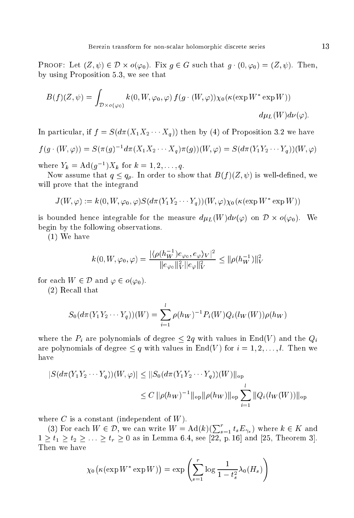PROOF: Let  $(Z, \psi) \in D \times o(\varphi_0)$ . Fix  $g \in G$  such that  $g \cdot (0, \varphi_0) = (Z, \psi)$ . Then, by using Proposition 5.3, we see that

$$
B(f)(Z, \psi) = \int_{\mathcal{D} \times o(\varphi_0)} k(0, W, \varphi_0, \varphi) f(g \cdot (W, \varphi)) \chi_0(\kappa(\exp W^* \exp W))
$$
  

$$
d\mu_L(W) d\nu(\varphi).
$$

In particular, if  $f = S(d\pi(X_1X_2 \cdots X_q))$  then by (4) of Proposition 3.2 we have

$$
f(g \cdot (W, \varphi)) = S(\pi(g)^{-1} d\pi (X_1 X_2 \cdots X_q) \pi(g))(W, \varphi) = S(d\pi (Y_1 Y_2 \cdots Y_q))(W, \varphi)
$$

where  $Y_k = \text{A} \mathfrak{a}(g^{-1}) \Lambda_k$  for  $\kappa = 1, 2, \ldots, q$ .

Now assume that  $q \leq q_{\rho}$ . In order to show that  $B(f)(Z, \psi)$  is well-defined, we will prove that the integrand

$$
J(W, \varphi) := k(0, W, \varphi_0, \varphi) S(d\pi(Y_1 Y_2 \cdots Y_q))(W, \varphi) \chi_0(\kappa(\exp W^* \exp W))
$$

is bounded hence integrable for the measure  $d\mu_L(W) d\nu(\varphi)$  on  $D\times o(\varphi_0).$  We begin by the following observations.

(1) We have

$$
k(0, W, \varphi_0, \varphi) = \frac{|\langle \rho(h_W^{-1}) e_{\varphi_0}, e_{\varphi} \rangle_V|^2}{\|e_{\varphi_0}\|_V^2 \|e_{\varphi}\|_V^2} \le \|\rho(h_W^{-1})\|_V^2
$$

for each  $W \in \mathcal{D}$  and  $\varphi \in o(\varphi_0)$ .

(2) Re
all that

$$
S_0(d\pi(Y_1Y_2\cdots Y_q))(W) = \sum_{i=1}^l \rho(h_W)^{-1} P_i(W) Q_i(l_W(W)) \rho(h_W)
$$

where the Pi are polynomials of degree  $\mathbb{Z}_q$  with values in End(V ) and the  $\mathbb{Q}/p$ are polynomials of degree  $\leq q$  with values in End(V) for  $i = 1, 2, \ldots, l$ . Then we have

$$
|S(d\pi(Y_1Y_2\cdots Y_q))(W,\varphi)| \leq ||S_0(d\pi(Y_1Y_2\cdots Y_q))(W)||_{\text{op}}
$$
  

$$
\leq C ||\rho(h_W)^{-1}||_{\text{op}} ||\rho(h_W)||_{\text{op}} \sum_{i=1}^l ||Q_i(l_W(W))||_{\text{op}}
$$

where  $C$  is a constant (independent of  $W$ ).

(3) For each  $W \in \mathcal{D}$ , we can write  $W = \text{Ad}(k)(\sum_{s=1}^r t_s E_{\gamma_s})$  where  $k \in K$  and  $1 \ge t_1 \ge t_2 \ge \ldots \ge t_r \ge 0$  as in Lemma 6.4, see [22, p. 16] and [25, Theorem 3]. Then we have

$$
\chi_0\big(\kappa(\exp W^* \exp W)\big) = \exp\left(\sum_{s=1}^r \log \frac{1}{1-t_s^2} \lambda_0(H_s)\right)
$$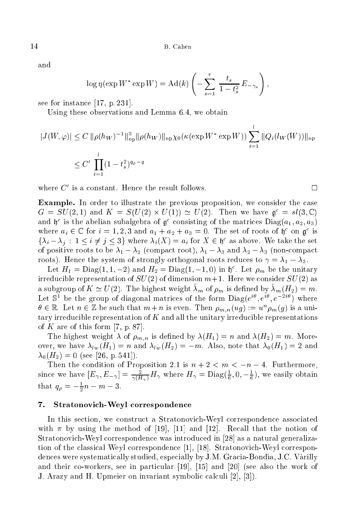and

$$
\log \eta(\exp W^* \exp W) = \mathrm{Ad}(k) \left( -\sum_{s=1}^r \frac{t_s}{1-t_s^2} E_{-\gamma_s} \right),
$$

see for instance  $[17, p. 231]$ .

Using these observations and Lemma 6.4, we obtain

$$
|J(W,\varphi)| \le C \|\rho(h_W)^{-1}\|_{\text{op}}^3 \|\rho(h_W)\|_{\text{op}} \chi_0(\kappa(\exp W^* \exp W)) \sum_{i=1}^l \|Q_i(l_W(W))\|_{\text{op}}
$$
  

$$
\le C' \prod_{i=1}^l (1-t_s^2)^{q_\rho-q}
$$

where C<sub>0</sub> is a constant. Hence the result follows.

**Example.** In order to illustrate the previous proposition, we consider the case  $G = SU(2,1)$  and  $K = SU(2) \times U(1) \simeq U(2)$ . Then we have  $\mathfrak{g}^{\circ} = sl(3, \mathbb{C})$ and  $\mathfrak{g}^*$  is the abelian subalgebra of  $\mathfrak{g}^*$  consisting of the matrices  $\mathrm{Diag}(a_1,a_2,a_3)$ where  $a_i \in \mathbb{C}$  for  $i = 1, 2, 3$  and  $a_1 + a_2 + a_3 = 0$ . The set of roots of  $\mathfrak{g}^-$  on  $\mathfrak{g}^-$  is  $\{\lambda_i - \lambda_j : 1 \leq i \neq j \leq \mathfrak{z}\}\$  where  $\lambda_i(\Lambda) = a_i$  for  $\Lambda \in \mathfrak{h}^*$  as above. We take the set of positive roots to be  $\lambda_1 - \lambda_2$  (compact root),  $\lambda_1 - \lambda_3$  and  $\lambda_2 - \lambda_3$  (non-compact roots). Hence the system of strongly orthogonal roots reduces to  $\gamma = \lambda_1 - \lambda_3$ .

Let  $H_1 = \text{Diag}(1, 1, -2)$  and  $H_2 = \text{Diag}(1, -1, 0)$  in i). Let  $\rho_m$  be the unitary irreducible representation of  $SU(2)$  of dimension  $m+1$ . Here we consider  $SU(2)$  as a subgroup of  $K \simeq U(2)$ . The highest weight  $\lambda_m$  of  $\rho_m$  is defined by  $\lambda_m(H_2) = m$ . Let  $\infty$  be the group of diagonal matrices of the form Diag(e),  $e$  ,  $e$  is a punele  $\sigma \in \mathbb{R}$ . Let  $n \in \mathbb{Z}$  be such that  $m+n$  is even. Then  $\rho_{m,n}(uy) := u \cdot \rho_m(y)$  is a unitary irredu
ible representation of K and all the unitary irredu
ible representations of K are of this form [7, p. 87].

The figures weight is defining the material density  $\mathcal{L} = \{1, \ldots, n\}$  , and  $\mathcal{L} = \{1, \ldots, n\}$ over, we have  $\lambda_{lw}(H_1) = n$  and  $\lambda_{lw}(H_2) = -m$ . Also, note that  $\lambda_0(H_1) = 2$  and  $\lambda_0(H_2) = 0$  (see [26, p. 541]).

Then the condition of Proposition 2.1 is  $n + 2 < m < -n - 4$ . Furthermore, since we have  $[E_\gamma, E_{-\gamma}] = \frac{1}{\gamma(H_\gamma)} H_\gamma$  where  $H_\gamma = \text{Diag}(\frac{1}{6}, 0, -\frac{1}{6})$ , we easily obtain that  $q_{\rho} = -\frac{1}{2}n - m - 3.$ 

## 7. Stratonovi
h-Weyl orresponden
e

In this se
tion, we onstru
t a Stratonovi
h-Weyl orresponden
e asso
iated with  $\pi$  by using the method of [19], [11] and [12]. Recall that the notion of Stratonovich-Weyl correspondence was introduced in [28] as a natural generalization of the classical Weyl correspondence [1], [18]. Stratonovich-Weyl correspondences were systematically studied, especially by J.M. Gracia-Bondia, J.C. Vàrilly and their co-workers, see in particular  $[19]$ ,  $[15]$  and  $[20]$  (see also the work of J. Arazy and H. Upmeier on invariant symbolic calculi  $[2]$ ,  $[3]$ ).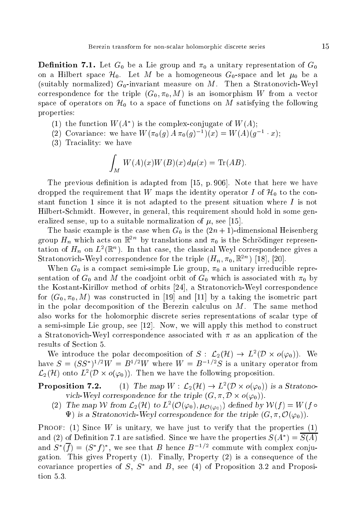**Definition 7.1.** Let  $G_0$  be a Lie group and  $\pi_0$  a unitary representation of  $G_0$ on a Hilbert space  $\mathcal{H}_0$ . Let M be a homogeneous  $G_0$ -space and let  $\mu_0$  be a (suitably normalized)  $G_0$ -invariant measure on M. Then a Stratonovich-Weyl correspondence for the triple  $(G_0, \pi_0, M)$  is an isomorphism W from a vector space of operators on  $\mathcal{H}_0$  to a space of functions on M satisfying the following properties:

- (1) the function  $W(A)$  is the complex-conjugate of  $W(A)$ ;
- (2) Covariance: we have W  $(\pi_0(g) A \pi_0(g))$   $(0, x) = W(A)(g)$  x;
- (3) Tra
iality: we have

$$
\int_M W(A)(x)W(B)(x) d\mu(x) = \text{Tr}(AB).
$$

The previous definition is adapted from  $[15, p. 906]$ . Note that here we have dropped the requirement that W maps the identity operator I of  $\mathcal{H}_0$  to the constant fun
tion 1 sin
e it is not adapted to the present situation where I is not Hilbert-S
hmidt. However, in general, this requirement should hold in some generalized sense, up to a suitable normalization of  $\mu$ , see [15].

The basic example is the case when  $G_0$  is the  $(2n+1)$ -dimensional Heisenberg group  $H_n$  which acts on  $\mathbb{R}^{++}$  by translations and  $\pi_0$  is the Schrodinger representation of  $H_n$  on  $L^-(\mathbb{R}^+)$ . In that case, the classical weyl correspondence gives a Stratonovich-Weyl correspondence for the triple  $(H_n, \pi_0, \mathbb{R}^{++})$  [18], [20].

When  $G_0$  is a compact semi-simple Lie group,  $\pi_0$  a unitary irreducible representation of  $G_0$  and M the coadjoint orbit of  $G_0$  which is associated with  $\pi_0$  by the Kostant-Kirillov method of orbits [24], a Stratonovich-Weyl correspondence for  $(G_0, \pi_0, M)$  was constructed in [19] and [11] by a taking the isometric part in the polar decomposition of the Berezin calculus on  $M$ . The same method also works for the holomorphi dis
rete series representations of s
alar type of a semi-simple Lie group, see  $[12]$ . Now, we will apply this method to construct a Stratonovich-Weyl correspondence associated with  $\pi$  as an application of the results of Se
tion 5.

We introduce the polar decomposition of  $S : L_2(H) \to L^2(D \times o(\varphi_0))$ . We have  $S = (SS)^{-\nu} W = B^{-\nu} W$  where  $W = B^{-\nu} S$  is a unitary operator from  $\mathcal{L}_2(\mathcal{H})$  onto  $L^2(\mathcal{D}\times o(\varphi_0)).$  Then we have the following proposition.

**Proposition 7.2.** (1) The map  $W : L_2(H) \to L^2(D \times o(\varphi_0))$  is a Stratonovich-Weyl correspondence for the triple  $(G, \pi, D \times o(\varphi_0))$ .

(2) The map VV from  $\mathcal{L}_2(\mathcal{H})$  to  $L^2(\mathcal{O}(\varphi_0), \mu_{\mathcal{O}(\varphi_0)})$  defined by  $\mathcal{V}(J) = \mathcal{W}(J)$  $\Psi$ ) is a Stratonovich-Weyl correspondence for the triple  $(G, \pi, \mathcal{O}(\varphi_0))$ .

**PROOF:** (1) Since W is unitary, we have just to verify that the properties  $(1)$ and (2) of Definition (.1 are satisfied. Since we have the properties  $S(A^{\dagger}) = S(A)$ and  $S$  (*f*) = ( $S$  *f*), we see that B hence B <sup>-7</sup> commute with complex conjugation. This gives Property (1). Finally, Property (2) is a onsequen
e of the covariance properties of  $S$ ,  $S$  and  $D$ , see (4) of Proposition 3.2 and Proposition 5.3.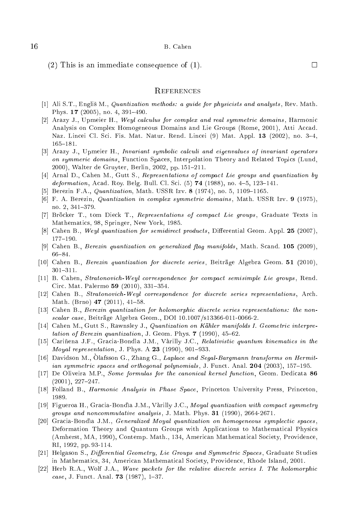(2) This is an immediate consequence of (1).  $\square$ 

#### **REFERENCES**

- [1] Ali S.T., Engliš M., *Quantization methods: a quide for physicists and analysts*, Rev. Math. Phys.  $17$  (2005), no. 4, 391-490.
- [2] Arazy J., Upmeier H., Weyl calculus for complex and real symmetric domains, Harmonic Analysis on Complex Homogeneous Domains and Lie Groups (Rome, 2001), Atti Accad. Naz. Lincei Cl. Sci. Fis. Mat. Natur. Rend. Lincei (9) Mat. Appl. 13 (2002), no. 3-4, 165-181.
- [3] Arazy J., Upmeier H., Invariant symbolic calculi and eigenvalues of invariant operators on symmeric domains, Function Spaces, Interpolation Theory and Related Topics (Lund, 2000), Walter de Gruyter, Berlin, 2002, pp. 151-211.
- [4] Arnal D., Cahen M., Gutt S., Representations of compact Lie groups and quantization by deformation, Acad. Roy. Belg. Bull. Cl. Sci. (5) 74 (1988), no. 4-5, 123-141.
- [5] Berezin F.A., *Quantization*, Math. USSR Izv. 8 (1974), no. 5, 1109-1165.
- [6] F. A. Berezin, Quantization in complex symmetric domains, Math. USSR Izv. 9 (1975), no. 2, 341-379.
- [7] Bröcker T., tom Dieck T., Representations of compact Lie groups, Graduate Texts in Mathemati
s, 98, Springer, New York, 1985.
- [8] Cahen B., Weyl quantization for semidirect products, Differential Geom. Appl. 25 (2007), 177{190.
- [9] Cahen B., Berezin quantization on generalized flaq manifolds, Math. Scand.  $105$  (2009), 66-84.
- [10] Cahen B., Berezin quantization for discrete series, Beiträge Algebra Geom. 51 (2010), 301-311.
- [11] B. Cahen, Stratonovich-Weyl correspondence for compact semisimple Lie groups, Rend. Circ. Mat. Palermo 59 (2010), 331-354.
- [12] Cahen B., Stratonovich-Weyl correspondence for discrete series representations, Arch. Math. (Brno) 47 (2011), 41-58.
- [13] Cahen B., Berezin quantization for holomorphic discrete series representations: the nonscalar case, Beiträge Algebra Geom., DOI 10.1007/s13366-011-0066-2.
- [14] Cahen M., Gutt S., Rawnsley J., Quantization on Kähler manifolds I. Geometric interpretation of Berezin quantization, J. Geom. Phys.  $7$  (1990), 45-62.
- [15] Cariñena J.F., Gracia-Bondìa J.M., Vàrilly J.C., Relativistic quantum kinematics in the *Moyal representation*, J. Phys. A  $23$  (1990), 901-933.
- [16] Davidson M., Olafsson G., Zhang G., Laplace and Segal-Bargmann transforms on Hermitian symmetric spaces and orthogonal polynomials, J. Funct. Anal.  $204$  (2003), 157-195.
- [17] De Oliveira M.P., Some formulas for the canonical kernel function, Geom. Dedicata 86  $(2001), 227 - 247.$
- [18] Folland B., *Harmonic Analysis in Phase Space*, Princeton University Press, Princeton, 1989.
- [19] Figueroa H., Gracia-Bondía J.M., Vàrilly J.C., Moyal quantization with compact symmetry groups and noncommutative analysis, J. Math. Phys. 31 (1990), 2664-2671.
- [20] Gracia-Bondia J.M., *Generalized Moyal quantization on homogeneous symplectic spaces*, Deformation Theory and Quantum Groups with Applications to Mathematical Physics (Amherst, MA, 1990), Contemp. Math., 134, American Mathematical Society, Providence, RI, 1992, pp. 93-114.
- [21] Helgason S., Differential Geometry, Lie Groups and Symmetric Spaces, Graduate Studies in Mathemati
s, 34, Ameri
an Mathemati
al So
iety, Providen
e, Rhode Island, 2001.
- [22] Herb R.A., Wolf J.A., Wave packets for the relative discrete series I. The holomorphic case, J. Funct. Anal. 73 (1987), 1-37.